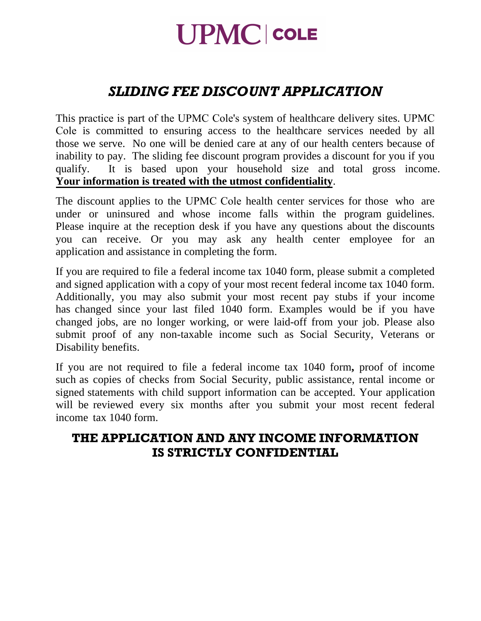# **UPMC COLE**

## *SLIDING FEE DISCOUNT APPLICATION*

This practice is part of the UPMC Cole's system of healthcare delivery sites. UPMC Cole is committed to ensuring access to the healthcare services needed by all those we serve. No one will be denied care at any of our health centers because of inability to pay. The sliding fee discount program provides a discount for you if you qualify. It is based upon your household size and total gross income. **Your information is treated with the utmost confidentiality**.

The discount applies to the UPMC Cole health center services for those who are under or uninsured and whose income falls within the program guidelines. Please inquire at the reception desk if you have any questions about the discounts you can receive. Or you may ask any health center employee for an application and assistance in completing the form.

If you are required to file a federal income tax 1040 form, please submit a completed and signed application with a copy of your most recent federal income tax 1040 form. Additionally, you may also submit your most recent pay stubs if your income has changed since your last filed 1040 form. Examples would be if you have changed jobs, are no longer working, or were laid-off from your job. Please also submit proof of any non-taxable income such as Social Security, Veterans or Disability benefits.

If you are not required to file a federal income tax 1040 form**,** proof of income such as copies of checks from Social Security, public assistance, rental income or signed statements with child support information can be accepted. Your application will be reviewed every six months after you submit your most recent federal income tax 1040 form.

## **THE APPLICATION AND ANY INCOME INFORMATION IS STRICTLY CONFIDENTIAL**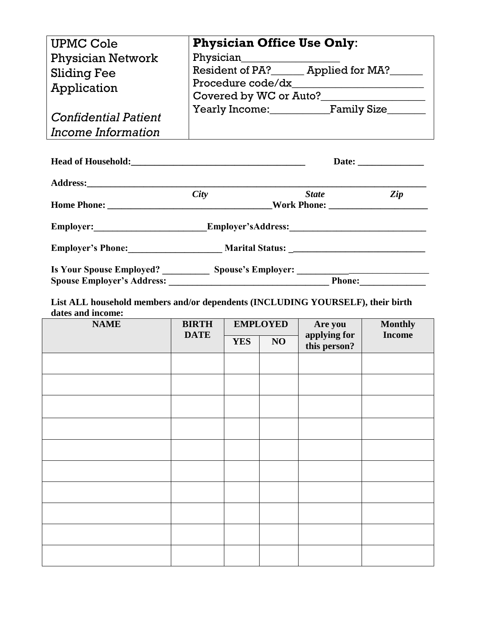| <b>UPMC Cole</b><br><b>Physician Network</b>                                                                           | <b>Physician Office Use Only:</b><br>Physician_____________________ |                                                                         |
|------------------------------------------------------------------------------------------------------------------------|---------------------------------------------------------------------|-------------------------------------------------------------------------|
| <b>Sliding Fee</b><br>Application                                                                                      |                                                                     | Resident of PA? ______ Applied for MA? ______<br>Covered by WC or Auto? |
| <b>Confidential Patient</b><br>Income Information                                                                      |                                                                     | Yearly Income: Family Size                                              |
|                                                                                                                        |                                                                     |                                                                         |
|                                                                                                                        |                                                                     |                                                                         |
|                                                                                                                        | City                                                                | State Zip                                                               |
| Employer:______________________________Employer'sAddress:________________________                                      |                                                                     |                                                                         |
|                                                                                                                        |                                                                     |                                                                         |
| Is Your Spouse Employed? ________________ Spouse's Employer: ____________________<br><b>Spouse Employer's Address:</b> |                                                                     | Phone:                                                                  |

**List ALL household members and/or dependents (INCLUDING YOURSELF), their birth dates and income:** 

| <b>NAME</b> | <b>BIRTH</b> | <b>EMPLOYED</b> |    | Are you                      | <b>Monthly</b><br><b>Income</b> |
|-------------|--------------|-----------------|----|------------------------------|---------------------------------|
| <b>DATE</b> |              | <b>YES</b>      | NO | applying for<br>this person? |                                 |
|             |              |                 |    |                              |                                 |
|             |              |                 |    |                              |                                 |
|             |              |                 |    |                              |                                 |
|             |              |                 |    |                              |                                 |
|             |              |                 |    |                              |                                 |
|             |              |                 |    |                              |                                 |
|             |              |                 |    |                              |                                 |
|             |              |                 |    |                              |                                 |
|             |              |                 |    |                              |                                 |
|             |              |                 |    |                              |                                 |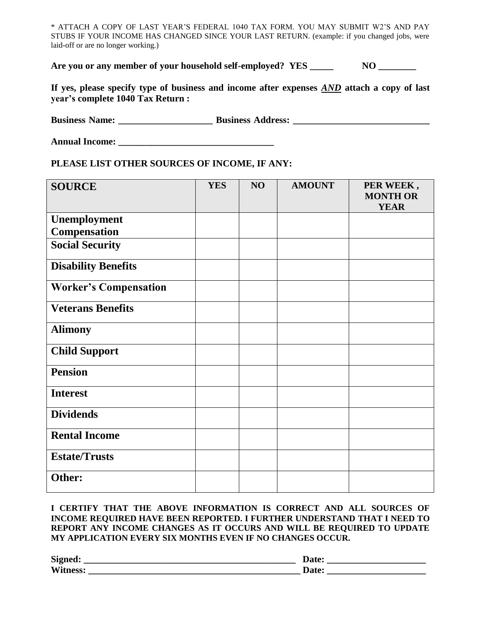\* ATTACH A COPY OF LAST YEAR'S FEDERAL 1040 TAX FORM. YOU MAY SUBMIT W2'S AND PAY STUBS IF YOUR INCOME HAS CHANGED SINCE YOUR LAST RETURN. (example: if you changed jobs, were laid-off or are no longer working.)

Are you or any member of your household self-employed? YES NO

**If yes, please specify type of business and income after expenses** *AND* **attach a copy of last year's complete 1040 Tax Return :** 

**Business Name: \_\_\_\_\_\_\_\_\_\_\_\_\_\_\_\_\_\_\_\_ Business Address: \_\_\_\_\_\_\_\_\_\_\_\_\_\_\_\_\_\_\_\_\_\_\_\_\_\_\_\_\_**

**Annual Income: \_\_\_\_\_\_\_\_\_\_\_\_\_\_\_\_\_\_\_\_\_\_\_\_\_\_\_\_\_\_\_\_\_** 

### **PLEASE LIST OTHER SOURCES OF INCOME, IF ANY:**

| <b>SOURCE</b>                | <b>YES</b> | NO | <b>AMOUNT</b> | PER WEEK,<br><b>MONTH OR</b> |
|------------------------------|------------|----|---------------|------------------------------|
|                              |            |    |               | <b>YEAR</b>                  |
| Unemployment                 |            |    |               |                              |
| <b>Compensation</b>          |            |    |               |                              |
| <b>Social Security</b>       |            |    |               |                              |
| <b>Disability Benefits</b>   |            |    |               |                              |
| <b>Worker's Compensation</b> |            |    |               |                              |
| <b>Veterans Benefits</b>     |            |    |               |                              |
| <b>Alimony</b>               |            |    |               |                              |
| <b>Child Support</b>         |            |    |               |                              |
| <b>Pension</b>               |            |    |               |                              |
| <b>Interest</b>              |            |    |               |                              |
| <b>Dividends</b>             |            |    |               |                              |
| <b>Rental Income</b>         |            |    |               |                              |
| <b>Estate/Trusts</b>         |            |    |               |                              |
| Other:                       |            |    |               |                              |

#### **I CERTIFY THAT THE ABOVE INFORMATION IS CORRECT AND ALL SOURCES OF INCOME REQUIRED HAVE BEEN REPORTED. I FURTHER UNDERSTAND THAT I NEED TO REPORT ANY INCOME CHANGES AS IT OCCURS AND WILL BE REQUIRED TO UPDATE MY APPLICATION EVERY SIX MONTHS EVEN IF NO CHANGES OCCUR.**

| <b>Signed</b> |  |
|---------------|--|
| Wi            |  |